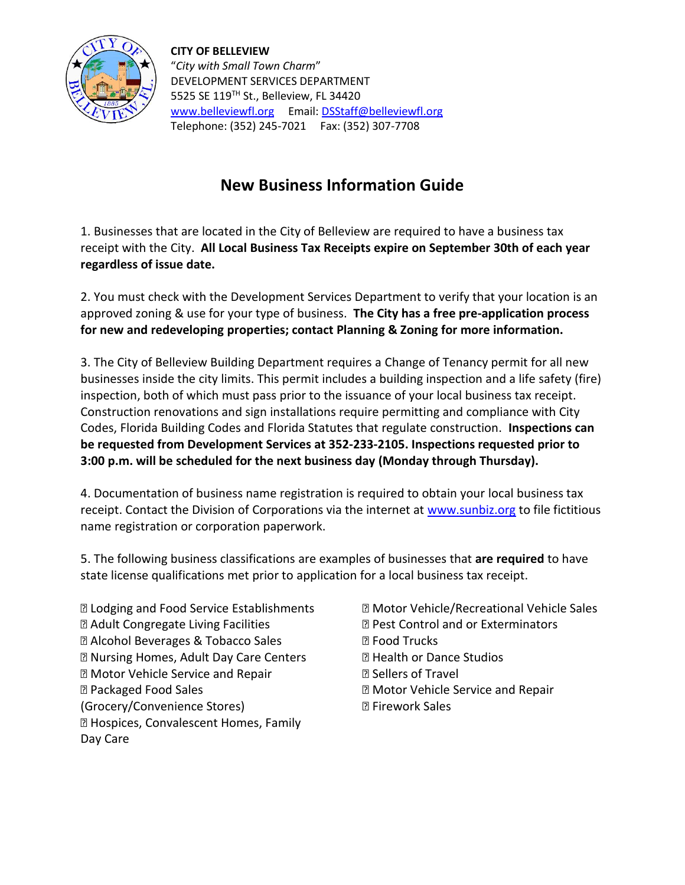

**CITY OF BELLEVIEW** "*City with Small Town Charm*" DEVELOPMENT SERVICES DEPARTMENT 5525 SE 119TH St., Belleview, FL 34420 [www.belleviewfl.org](http://www.belleviewfl.org/) Email[: DSStaff@belleviewfl.org](mailto:DSStaff@belleviewfl.org) Telephone: (352) 245-7021 Fax: (352) 307-7708

## **New Business Information Guide**

1. Businesses that are located in the City of Belleview are required to have a business tax receipt with the City. **All Local Business Tax Receipts expire on September 30th of each year regardless of issue date.**

2. You must check with the Development Services Department to verify that your location is an approved zoning & use for your type of business. **The City has a free pre-application process for new and redeveloping properties; contact Planning & Zoning for more information.**

3. The City of Belleview Building Department requires a Change of Tenancy permit for all new businesses inside the city limits. This permit includes a building inspection and a life safety (fire) inspection, both of which must pass prior to the issuance of your local business tax receipt. Construction renovations and sign installations require permitting and compliance with City Codes, Florida Building Codes and Florida Statutes that regulate construction. **Inspections can be requested from Development Services at 352-233-2105. Inspections requested prior to 3:00 p.m. will be scheduled for the next business day (Monday through Thursday).**

4. Documentation of business name registration is required to obtain your local business tax receipt. Contact the Division of Corporations via the internet at [www.sunbiz.org](http://www.sunbiz.org/) to file fictitious name registration or corporation paperwork.

5. The following business classifications are examples of businesses that **are required** to have state license qualifications met prior to application for a local business tax receipt.

- Lodging and Food Service Establishments Adult Congregate Living Facilities Alcohol Beverages & Tobacco Sales Nursing Homes, Adult Day Care Centers Motor Vehicle Service and Repair Packaged Food Sales (Grocery/Convenience Stores) Hospices, Convalescent Homes, Family Day Care
- Motor Vehicle/Recreational Vehicle Sales Pest Control and or Exterminators **图 Food Trucks Z** Health or Dance Studios Sellers of Travel Motor Vehicle Service and Repair **图 Firework Sales**